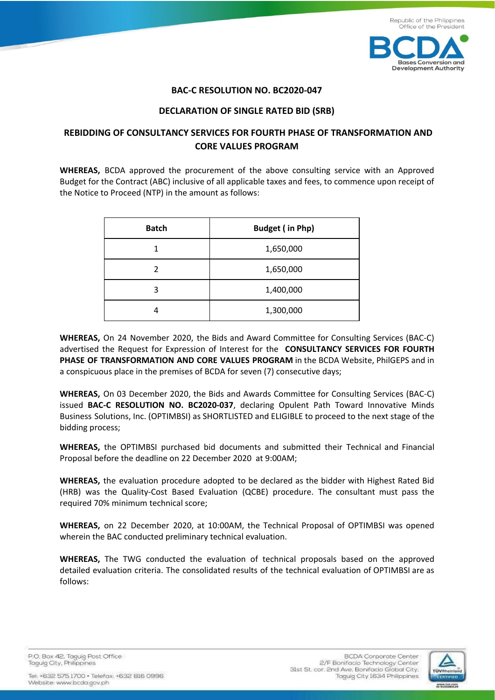

#### **BAC-C RESOLUTION NO. BC2020-047**

#### **DECLARATION OF SINGLE RATED BID (SRB)**

## **REBIDDING OF CONSULTANCY SERVICES FOR FOURTH PHASE OF TRANSFORMATION AND CORE VALUES PROGRAM**

**WHEREAS,** BCDA approved the procurement of the above consulting service with an Approved Budget for the Contract (ABC) inclusive of all applicable taxes and fees, to commence upon receipt of the Notice to Proceed (NTP) in the amount as follows:

| <b>Batch</b> | <b>Budget (in Php)</b> |
|--------------|------------------------|
|              | 1,650,000              |
| 2            | 1,650,000              |
| 3            | 1,400,000              |
|              | 1,300,000              |

**WHEREAS,** On 24 November 2020, the Bids and Award Committee for Consulting Services (BAC-C) advertised the Request for Expression of Interest for the **CONSULTANCY SERVICES FOR FOURTH PHASE OF TRANSFORMATION AND CORE VALUES PROGRAM** in the BCDA Website, PhilGEPS and in a conspicuous place in the premises of BCDA for seven (7) consecutive days;

**WHEREAS,** On 03 December 2020, the Bids and Awards Committee for Consulting Services (BAC-C) issued **BAC-C RESOLUTION NO. BC2020-037**, declaring Opulent Path Toward Innovative Minds Business Solutions, Inc. (OPTIMBSI) as SHORTLISTED and ELIGIBLE to proceed to the next stage of the bidding process;

**WHEREAS,** the OPTIMBSI purchased bid documents and submitted their Technical and Financial Proposal before the deadline on 22 December 2020 at 9:00AM;

**WHEREAS,** the evaluation procedure adopted to be declared as the bidder with Highest Rated Bid (HRB) was the Quality-Cost Based Evaluation (QCBE) procedure. The consultant must pass the required 70% minimum technical score;

**WHEREAS,** on 22 December 2020, at 10:00AM, the Technical Proposal of OPTIMBSI was opened wherein the BAC conducted preliminary technical evaluation.

**WHEREAS,** The TWG conducted the evaluation of technical proposals based on the approved detailed evaluation criteria. The consolidated results of the technical evaluation of OPTIMBSI are as follows:



P.O. Box 42. Taguig Post Office Taguig City, Philippines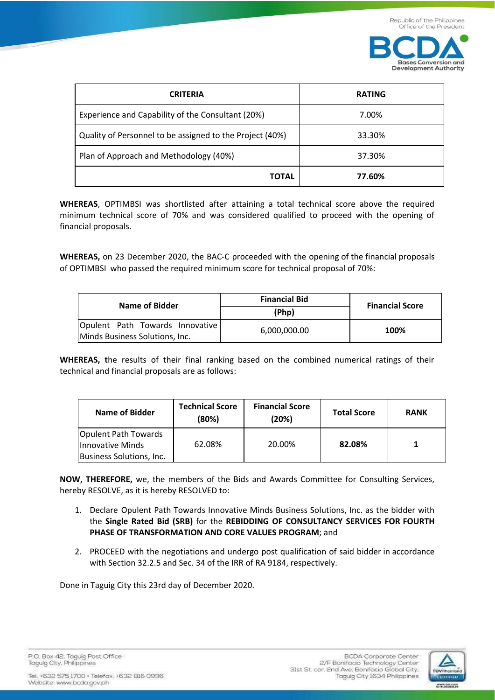

| <b>CRITERIA</b>                                          | <b>RATING</b> |
|----------------------------------------------------------|---------------|
| Experience and Capability of the Consultant (20%)        | 7.00%         |
| Quality of Personnel to be assigned to the Project (40%) | 33.30%        |
| Plan of Approach and Methodology (40%)                   | 37.30%        |
| <b>TOTAL</b>                                             | 77.60%        |

**WHEREAS**, OPTIMBSI was shortlisted after attaining a total technical score above the required minimum technical score of 70% and was considered qualified to proceed with the opening of financial proposals.

**WHEREAS,** on 23 December 2020, the BAC-C proceeded with the opening of the financial proposals of OPTIMBSI who passed the required minimum score for technical proposal of 70%:

| <b>Name of Bidder</b>                                             | <b>Financial Bid</b> | <b>Financial Score</b> |  |
|-------------------------------------------------------------------|----------------------|------------------------|--|
|                                                                   | (Php)                |                        |  |
| Opulent Path Towards Innovative<br>Minds Business Solutions, Inc. | 6,000,000.00         | 100%                   |  |

**WHEREAS, t**he results of their final ranking based on the combined numerical ratings of their technical and financial proposals are as follows:

| <b>Name of Bidder</b>                                                       | <b>Technical Score</b><br>(80%) | <b>Financial Score</b><br>(20%) | <b>Total Score</b> | <b>RANK</b> |
|-----------------------------------------------------------------------------|---------------------------------|---------------------------------|--------------------|-------------|
| Opulent Path Towards<br>Innovative Minds<br><b>Business Solutions, Inc.</b> | 62.08%                          | 20.00%                          | 82.08%             |             |

**NOW, THEREFORE,** we, the members of the Bids and Awards Committee for Consulting Services, hereby RESOLVE, as it is hereby RESOLVED to:

- 1. Declare Opulent Path Towards Innovative Minds Business Solutions, Inc. as the bidder with the **Single Rated Bid (SRB)** for the **REBIDDING OF CONSULTANCY SERVICES FOR FOURTH PHASE OF TRANSFORMATION AND CORE VALUES PROGRAM**; and
- 2. PROCEED with the negotiations and undergo post qualification of said bidder in accordance with Section 32.2.5 and Sec. 34 of the IRR of RA 9184, respectively.

Done in Taguig City this 23rd day of December 2020.

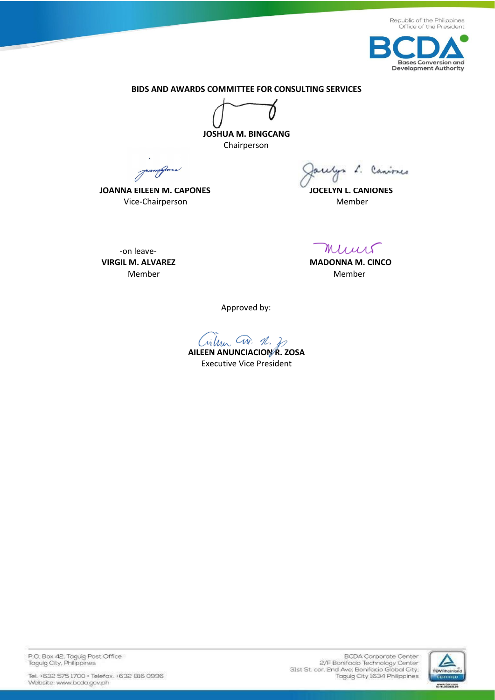



**BIDS AND AWARDS COMMITTEE FOR CONSULTING SERVICES** 

**JOSHUA M. BINGCANG**  Chairperson

Joannafer

**JOANNA EILEEN M. CAPONES JOCELYN L. CANIONES Vice-Chairperson** Member

ulys L. Caniones

-on leave-

Muus

**VIRGIL M. ALVAREZ MADONNA M. CINCO** Member **Member** Member and Member and Member

Approved by:

**AILEEN ANUNCIACION R. ZOSA** 

Executive Vice President

P.O. Box 42, Taguig Post Office<br>Taguig City, Philippines

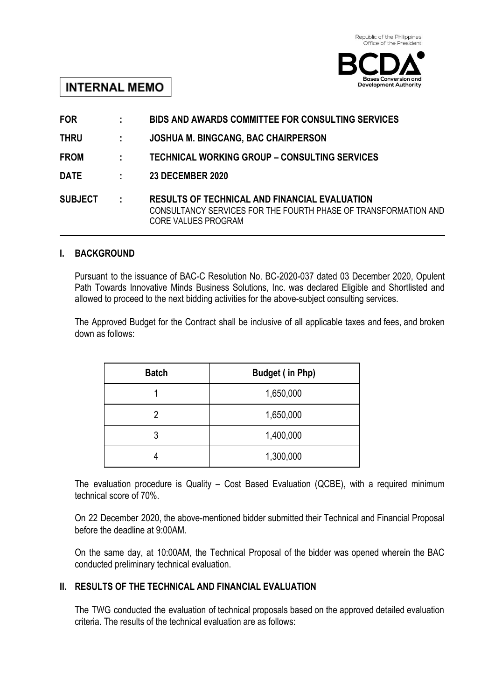

# **INTERNAL MEMO**

| <b>FOR</b>     | ÷.           | <b>BIDS AND AWARDS COMMITTEE FOR CONSULTING SERVICES</b>                                                                                       |
|----------------|--------------|------------------------------------------------------------------------------------------------------------------------------------------------|
| <b>THRU</b>    |              | <b>JOSHUA M. BINGCANG, BAC CHAIRPERSON</b>                                                                                                     |
| <b>FROM</b>    | ÷.           | TECHNICAL WORKING GROUP - CONSULTING SERVICES                                                                                                  |
| <b>DATE</b>    |              | <b>23 DECEMBER 2020</b>                                                                                                                        |
| <b>SUBJECT</b> | $\mathbb{R}$ | <b>RESULTS OF TECHNICAL AND FINANCIAL EVALUATION</b><br>CONSULTANCY SERVICES FOR THE FOURTH PHASE OF TRANSFORMATION AND<br>CORE VALUES PROGRAM |

## **I. BACKGROUND**

Pursuant to the issuance of BAC-C Resolution No. BC-2020-037 dated 03 December 2020, Opulent Path Towards Innovative Minds Business Solutions, Inc. was declared Eligible and Shortlisted and allowed to proceed to the next bidding activities for the above-subject consulting services.

The Approved Budget for the Contract shall be inclusive of all applicable taxes and fees, and broken down as follows:

| <b>Batch</b> | <b>Budget (in Php)</b> |
|--------------|------------------------|
|              | 1,650,000              |
| 2            | 1,650,000              |
| 3            | 1,400,000              |
|              | 1,300,000              |

The evaluation procedure is Quality – Cost Based Evaluation (QCBE), with a required minimum technical score of 70%.

On 22 December 2020, the above-mentioned bidder submitted their Technical and Financial Proposal before the deadline at 9:00AM.

On the same day, at 10:00AM, the Technical Proposal of the bidder was opened wherein the BAC conducted preliminary technical evaluation.

## **II. RESULTS OF THE TECHNICAL AND FINANCIAL EVALUATION**

The TWG conducted the evaluation of technical proposals based on the approved detailed evaluation criteria. The results of the technical evaluation are as follows: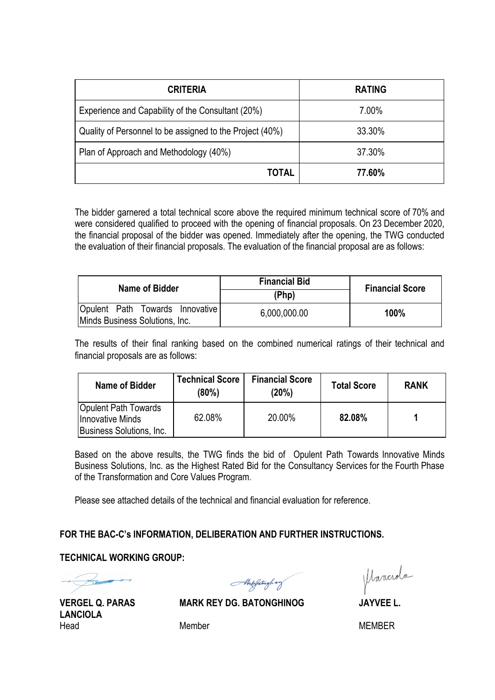| <b>CRITERIA</b>                                          | <b>RATING</b> |
|----------------------------------------------------------|---------------|
| Experience and Capability of the Consultant (20%)        | 7.00%         |
| Quality of Personnel to be assigned to the Project (40%) | 33.30%        |
| Plan of Approach and Methodology (40%)                   | 37.30%        |
| TOTAL                                                    | 77.60%        |

The bidder garnered a total technical score above the required minimum technical score of 70% and were considered qualified to proceed with the opening of financial proposals. On 23 December 2020, the financial proposal of the bidder was opened. Immediately after the opening, the TWG conducted the evaluation of their financial proposals. The evaluation of the financial proposal are as follows:

| Name of Bidder                                                    | <b>Financial Bid</b> | <b>Financial Score</b> |  |
|-------------------------------------------------------------------|----------------------|------------------------|--|
|                                                                   | (Php)                |                        |  |
| Opulent Path Towards Innovative<br>Minds Business Solutions, Inc. | 6,000,000.00         | 100%                   |  |

The results of their final ranking based on the combined numerical ratings of their technical and financial proposals are as follows:

| <b>Name of Bidder</b>                                                              | <b>Technical Score</b><br>$(80\%)$ | <b>Financial Score</b><br>(20%) | <b>Total Score</b> | <b>RANK</b> |
|------------------------------------------------------------------------------------|------------------------------------|---------------------------------|--------------------|-------------|
| <b>Opulent Path Towards</b><br><b>Innovative Minds</b><br>Business Solutions, Inc. | 62.08%                             | 20.00%                          | 82.08%             |             |

Based on the above results, the TWG finds the bid of Opulent Path Towards Innovative Minds Business Solutions, Inc. as the Highest Rated Bid for the Consultancy Services for the Fourth Phase of the Transformation and Core Values Program.

Please see attached details of the technical and financial evaluation for reference.

## **FOR THE BAC-C's INFORMATION, DELIBERATION AND FURTHER INSTRUCTIONS.**

### **TECHNICAL WORKING GROUP:**

Aberfatough way

Manciola

**LANCIOLA** Head Member Member **MEMBER** 

**VERGEL Q. PARAS MARK REY DG. BATONGHINOG JAYVEE L.**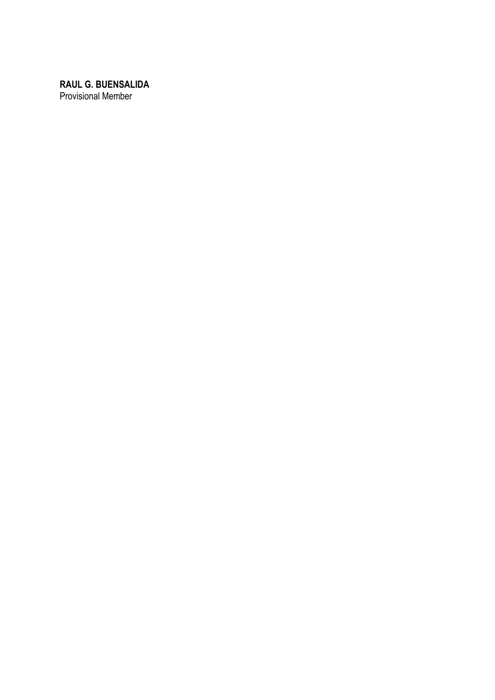**RAUL G. BUENSALIDA** Provisional Member